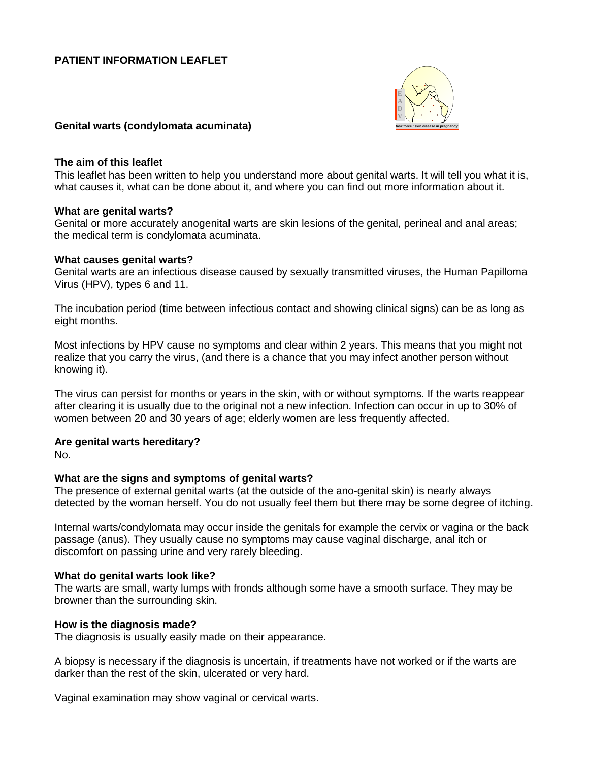## **PATIENT INFORMATION LEAFLET**



#### **Genital warts (condylomata acuminata)**

#### **The aim of this leaflet**

This leaflet has been written to help you understand more about genital warts. It will tell you what it is, what causes it, what can be done about it, and where you can find out more information about it.

#### **What are genital warts?**

Genital or more accurately anogenital warts are skin lesions of the genital, perineal and anal areas; the medical term is condylomata acuminata.

#### **What causes genital warts?**

Genital warts are an infectious disease caused by sexually transmitted viruses, the Human Papilloma Virus (HPV), types 6 and 11.

The incubation period (time between infectious contact and showing clinical signs) can be as long as eight months.

Most infections by HPV cause no symptoms and clear within 2 years. This means that you might not realize that you carry the virus, (and there is a chance that you may infect another person without knowing it).

The virus can persist for months or years in the skin, with or without symptoms. If the warts reappear after clearing it is usually due to the original not a new infection. Infection can occur in up to 30% of women between 20 and 30 years of age; elderly women are less frequently affected.

### **Are genital warts hereditary?**

No.

### **What are the signs and symptoms of genital warts?**

The presence of external genital warts (at the outside of the ano-genital skin) is nearly always detected by the woman herself. You do not usually feel them but there may be some degree of itching.

Internal warts/condylomata may occur inside the genitals for example the cervix or vagina or the back passage (anus). They usually cause no symptoms may cause vaginal discharge, anal itch or discomfort on passing urine and very rarely bleeding.

### **What do genital warts look like?**

The warts are small, warty lumps with fronds although some have a smooth surface. They may be browner than the surrounding skin.

### **How is the diagnosis made?**

The diagnosis is usually easily made on their appearance.

A biopsy is necessary if the diagnosis is uncertain, if treatments have not worked or if the warts are darker than the rest of the skin, ulcerated or very hard.

Vaginal examination may show vaginal or cervical warts.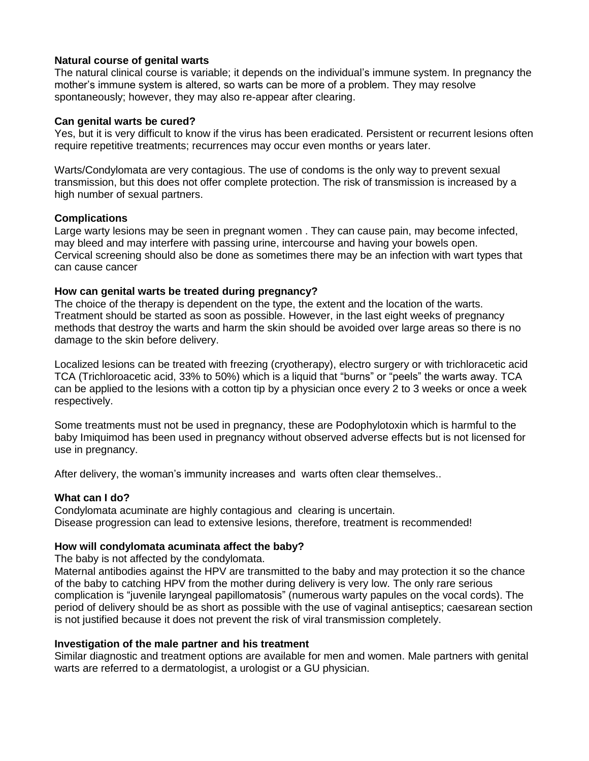## **Natural course of genital warts**

The natural clinical course is variable; it depends on the individual's immune system. In pregnancy the mother's immune system is altered, so warts can be more of a problem. They may resolve spontaneously; however, they may also re-appear after clearing.

### **Can genital warts be cured?**

Yes, but it is very difficult to know if the virus has been eradicated. Persistent or recurrent lesions often require repetitive treatments; recurrences may occur even months or years later.

Warts/Condylomata are very contagious. The use of condoms is the only way to prevent sexual transmission, but this does not offer complete protection. The risk of transmission is increased by a high number of sexual partners.

### **Complications**

Large warty lesions may be seen in pregnant women . They can cause pain, may become infected, may bleed and may interfere with passing urine, intercourse and having your bowels open. Cervical screening should also be done as sometimes there may be an infection with wart types that can cause cancer

## **How can genital warts be treated during pregnancy?**

The choice of the therapy is dependent on the type, the extent and the location of the warts. Treatment should be started as soon as possible. However, in the last eight weeks of pregnancy methods that destroy the warts and harm the skin should be avoided over large areas so there is no damage to the skin before delivery.

Localized lesions can be treated with freezing (cryotherapy), electro surgery or with trichloracetic acid TCA (Trichloroacetic acid, 33% to 50%) which is a liquid that "burns" or "peels" the warts away. TCA can be applied to the lesions with a cotton tip by a physician once every 2 to 3 weeks or once a week respectively.

Some treatments must not be used in pregnancy, these are Podophylotoxin which is harmful to the baby Imiquimod has been used in pregnancy without observed adverse effects but is not licensed for use in pregnancy.

After delivery, the woman's immunity increases and warts often clear themselves..

# **What can I do?**

Condylomata acuminate are highly contagious and clearing is uncertain. Disease progression can lead to extensive lesions, therefore, treatment is recommended!

# **How will condylomata acuminata affect the baby?**

The baby is not affected by the condylomata.

Maternal antibodies against the HPV are transmitted to the baby and may protection it so the chance of the baby to catching HPV from the mother during delivery is very low. The only rare serious complication is "juvenile laryngeal papillomatosis" (numerous warty papules on the vocal cords). The period of delivery should be as short as possible with the use of vaginal antiseptics; caesarean section is not justified because it does not prevent the risk of viral transmission completely.

### **Investigation of the male partner and his treatment**

Similar diagnostic and treatment options are available for men and women. Male partners with genital warts are referred to a dermatologist, a urologist or a GU physician.